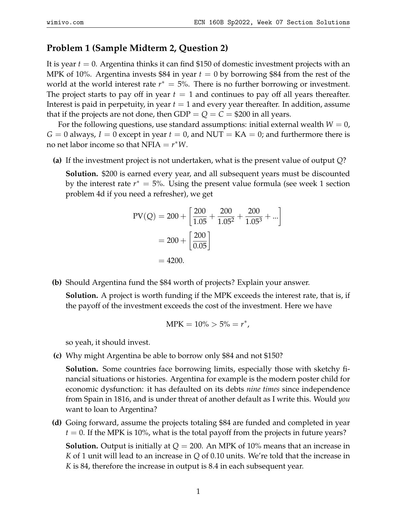## **Problem 1 (Sample Midterm 2, Question 2)**

It is year *t* = 0. Argentina thinks it can find \$150 of domestic investment projects with an MPK of 10%. Argentina invests \$84 in year  $t = 0$  by borrowing \$84 from the rest of the world at the world interest rate  $r^* = 5$ %. There is no further borrowing or investment. The project starts to pay off in year  $t = 1$  and continues to pay off all years thereafter. Interest is paid in perpetuity, in year  $t = 1$  and every year thereafter. In addition, assume that if the projects are not done, then  $GDP = Q = C = $200$  in all years.

For the following questions, use standard assumptions: initial external wealth  $W = 0$ ,  $G = 0$  always,  $I = 0$  except in year  $t = 0$ , and NUT = KA = 0; and furthermore there is no net labor income so that  $NFIA = r^*W$ .

**(a)** If the investment project is not undertaken, what is the present value of output *Q*?

**Solution.** \$200 is earned every year, and all subsequent years must be discounted by the interest rate  $r^* = 5$ %. Using the present value formula (see week 1 section problem 4d if you need a refresher), we get

$$
PV(Q) = 200 + \left[\frac{200}{1.05} + \frac{200}{1.05^2} + \frac{200}{1.05^3} + \dots\right]
$$

$$
= 200 + \left[\frac{200}{0.05}\right]
$$

$$
= 4200.
$$

**(b)** Should Argentina fund the \$84 worth of projects? Explain your answer.

**Solution.** A project is worth funding if the MPK exceeds the interest rate, that is, if the payoff of the investment exceeds the cost of the investment. Here we have

$$
MPK = 10\% > 5\% = r^*,
$$

so yeah, it should invest.

**(c)** Why might Argentina be able to borrow only \$84 and not \$150?

**Solution.** Some countries face borrowing limits, especially those with sketchy financial situations or histories. Argentina for example is the modern poster child for economic dysfunction: it has defaulted on its debts *nine times* since independence from Spain in 1816, and is under threat of another default as I write this. Would *you* want to loan to Argentina?

**(d)** Going forward, assume the projects totaling \$84 are funded and completed in year  $t = 0$ . If the MPK is 10%, what is the total payoff from the projects in future years?

**Solution.** Output is initially at *Q* = 200. An MPK of 10% means that an increase in *K* of 1 unit will lead to an increase in *Q* of 0.10 units. We're told that the increase in *K* is 84, therefore the increase in output is 8.4 in each subsequent year.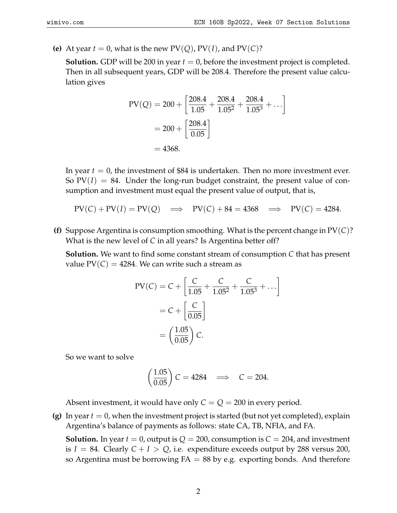**(e)** At year  $t = 0$ , what is the new  $PV(Q)$ ,  $PV(I)$ , and  $PV(C)$ ?

**Solution.** GDP will be 200 in year  $t = 0$ , before the investment project is completed. Then in all subsequent years, GDP will be 208.4. Therefore the present value calculation gives

$$
PV(Q) = 200 + \left[\frac{208.4}{1.05} + \frac{208.4}{1.05^2} + \frac{208.4}{1.05^3} + \dots\right]
$$

$$
= 200 + \left[\frac{208.4}{0.05}\right]
$$

$$
= 4368.
$$

In year  $t = 0$ , the investment of \$84 is undertaken. Then no more investment ever. So  $PV(I) = 84$ . Under the long-run budget constraint, the present value of consumption and investment must equal the present value of output, that is,

- $PV(C) + PV(I) = PV(Q) \implies PV(C) + 84 = 4368 \implies PV(C) = 4284.$
- **(f)** Suppose Argentina is consumption smoothing. What is the percent change in PV(*C*)? What is the new level of *C* in all years? Is Argentina better off?

**Solution.** We want to find some constant stream of consumption *C* that has present value  $PV(C) = 4284$ . We can write such a stream as

$$
PV(C) = C + \left[ \frac{C}{1.05} + \frac{C}{1.05^2} + \frac{C}{1.05^3} + \dots \right]
$$

$$
= C + \left[ \frac{C}{0.05} \right]
$$

$$
= \left( \frac{1.05}{0.05} \right) C.
$$

So we want to solve

$$
\left(\frac{1.05}{0.05}\right)C = 4284 \implies C = 204.
$$

Absent investment, it would have only  $C = Q = 200$  in every period.

**(g)** In year  $t = 0$ , when the investment project is started (but not yet completed), explain Argentina's balance of payments as follows: state CA, TB, NFIA, and FA.

**Solution.** In year  $t = 0$ , output is  $Q = 200$ , consumption is  $C = 204$ , and investment is  $I = 84$ . Clearly  $C + I > Q$ , i.e. expenditure exceeds output by 288 versus 200, so Argentina must be borrowing  $FA = 88$  by e.g. exporting bonds. And therefore